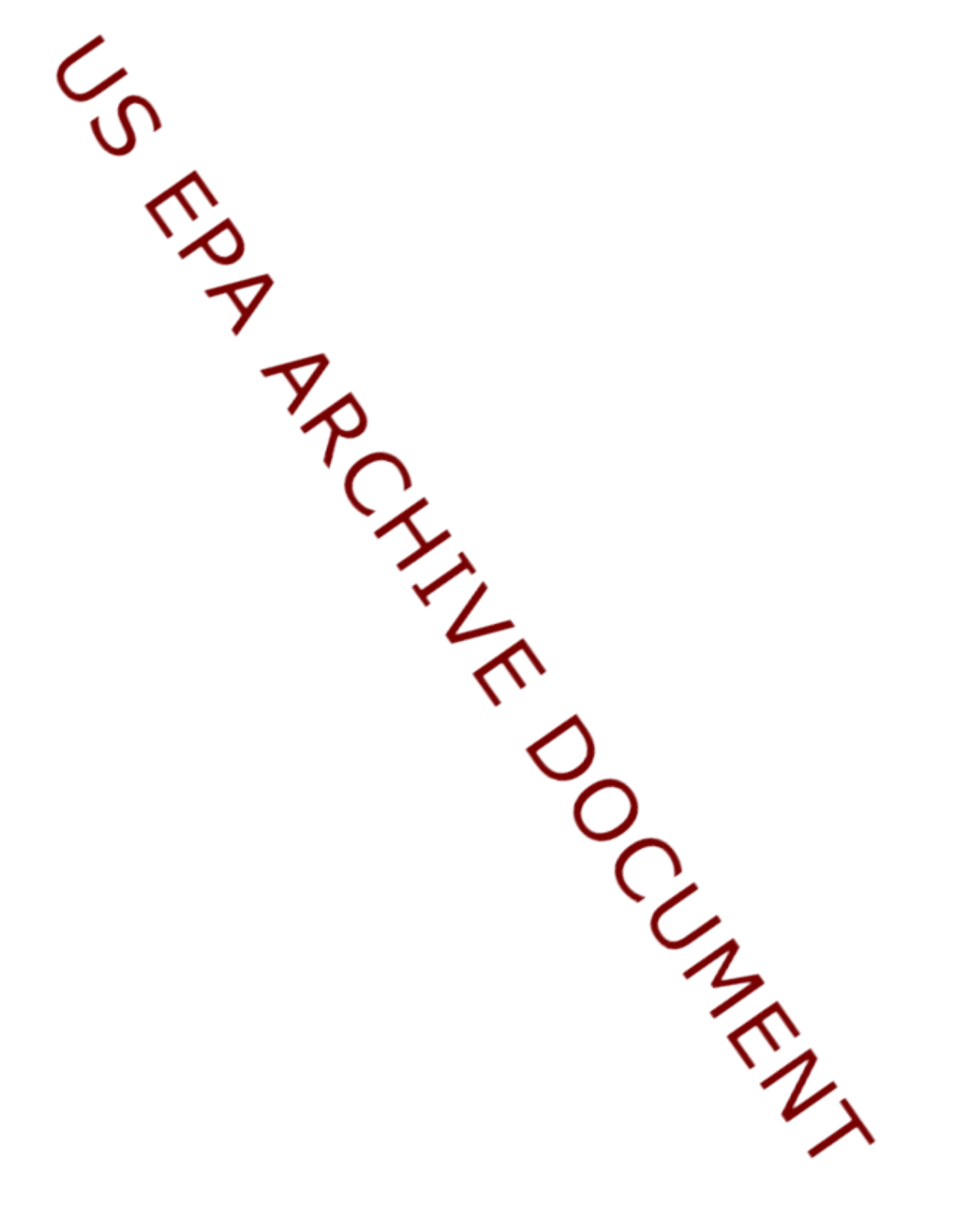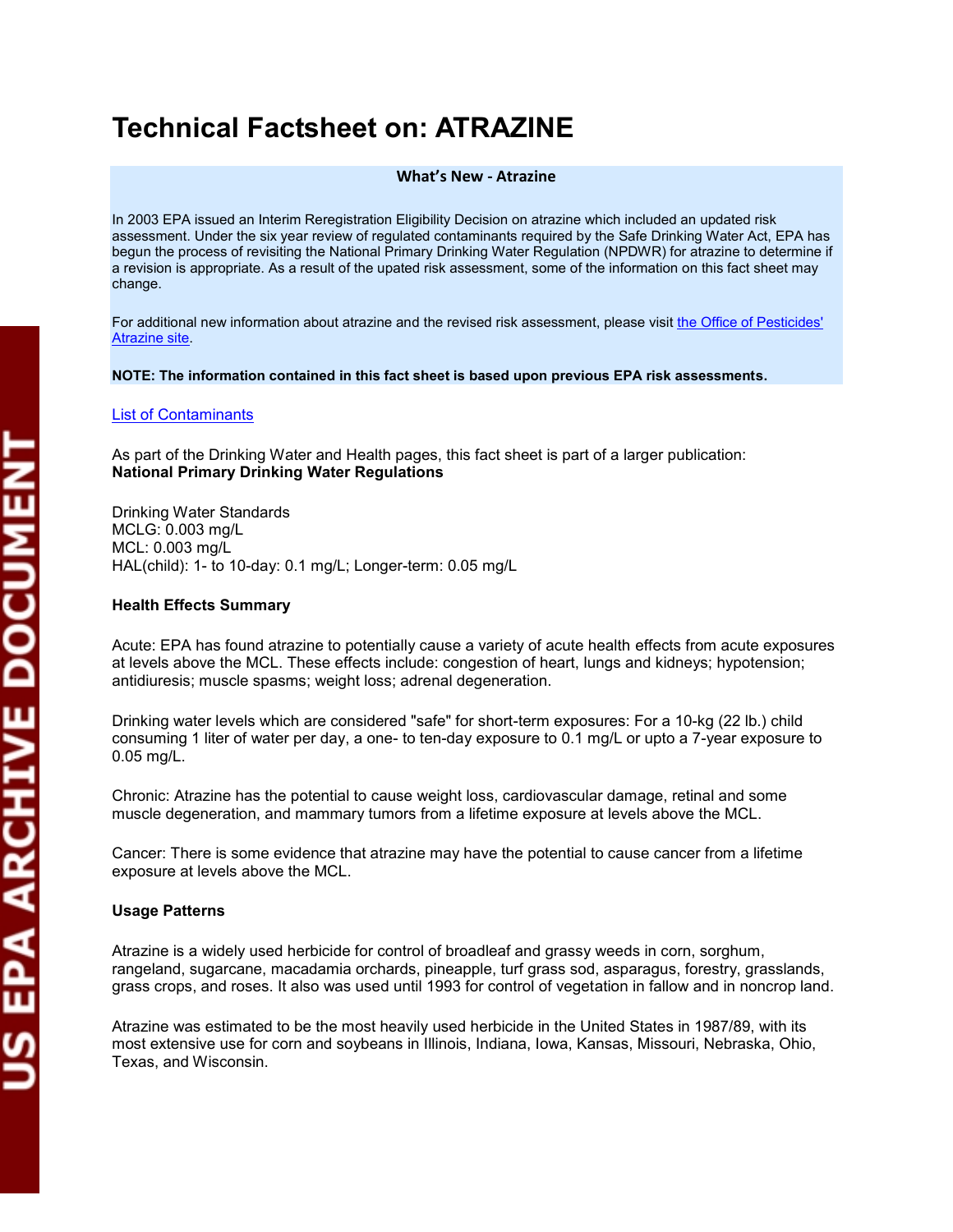# **Technical Factsheet on: ATRAZINE**

#### **What's New - Atrazine**

In 2003 EPA issued an Interim Reregistration Eligibility Decision on atrazine which included an updated risk assessment. Under the six year review of regulated contaminants required by the Safe Drinking Water Act, EPA has begun the process of revisiting the National Primary Drinking Water Regulation (NPDWR) for atrazine to determine if a revision is appropriate. As a result of the upated risk assessment, some of the information on this fact sheet may change.

For additional new information about atrazine and the revised risk assessment, please visit the Office of Pesticides' [Atrazine site.](http://www.epa.gov/oppsrrd1/reregistration/atrazine/index.htm)

#### **NOTE: The information contained in this fact sheet is based upon previous EPA risk assessments.**

#### [List of Contaminants](http://www.epa.gov/safewater/hfacts.html)

 As part of the Drinking Water and Health pages, this fact sheet is part of a larger publication: **National Primary Drinking Water Regulations** 

 HAL(child): 1- to 10-day: 0.1 mg/L; Longer-term: 0.05 mg/L Drinking Water Standards MCLG: 0.003 mg/L MCL: 0.003 mg/L

#### **Health Effects Summary**

 Acute: EPA has found atrazine to potentially cause a variety of acute health effects from acute exposures at levels above the MCL. These effects include: congestion of heart, lungs and kidneys; hypotension; antidiuresis; muscle spasms; weight loss; adrenal degeneration.

 consuming 1 liter of water per day, a one- to ten-day exposure to 0.1 mg/L or upto a 7-year exposure to Drinking water levels which are considered "safe" for short-term exposures: For a 10-kg (22 lb.) child 0.05 mg/L.

Chronic: Atrazine has the potential to cause weight loss, cardiovascular damage, retinal and some muscle degeneration, and mammary tumors from a lifetime exposure at levels above the MCL.

Cancer: There is some evidence that atrazine may have the potential to cause cancer from a lifetime exposure at levels above the MCL.

#### **Usage Patterns**

 Atrazine is a widely used herbicide for control of broadleaf and grassy weeds in corn, sorghum, rangeland, sugarcane, macadamia orchards, pineapple, turf grass sod, asparagus, forestry, grasslands, grass crops, and roses. It also was used until 1993 for control of vegetation in fallow and in noncrop land.

Atrazine was estimated to be the most heavily used herbicide in the United States in 1987/89, with its most extensive use for corn and soybeans in Illinois, Indiana, Iowa, Kansas, Missouri, Nebraska, Ohio, Texas, and Wisconsin.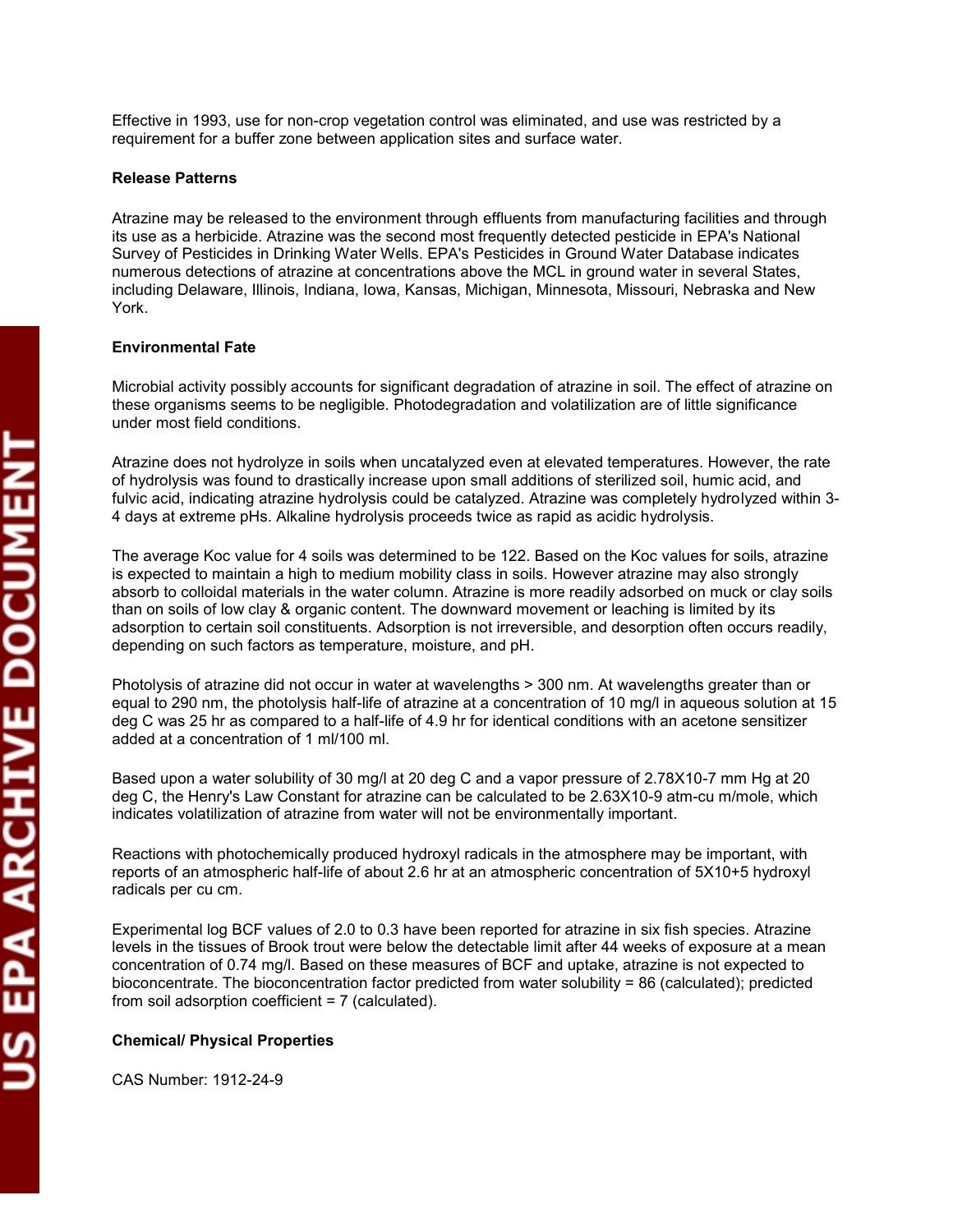Effective in 1993, use for non-crop vegetation control was eliminated, and use was restricted by a requirement for a buffer zone between application sites and surface water.

### **Release Patterns**

 Survey of Pesticides in Drinking Water Wells. EPA's Pesticides in Ground Water Database indicates numerous detections of atrazine at concentrations above the MCL in ground water in several States, Atrazine may be released to the environment through effluents from manufacturing facilities and through its use as a herbicide. Atrazine was the second most frequently detected pesticide in EPA's National including Delaware, Illinois, Indiana, Iowa, Kansas, Michigan, Minnesota, Missouri, Nebraska and New York.

## **Environmental Fate**

under most field conditions. Microbial activity possibly accounts for significant degradation of atrazine in soil. The effect of atrazine on these organisms seems to be negligible. Photodegradation and volatilization are of little significance

 of hydrolysis was found to drastically increase upon small additions of sterilized soil, humic acid, and Atrazine does not hydrolyze in soils when uncatalyzed even at elevated temperatures. However, the rate fulvic acid, indicating atrazine hydrolysis could be catalyzed. Atrazine was completely hydrolyzed within 3- 4 days at extreme pHs. Alkaline hydrolysis proceeds twice as rapid as acidic hydrolysis.

 The average Koc value for 4 soils was determined to be 122. Based on the Koc values for soils, atrazine than on soils of low clay & organic content. The downward movement or leaching is limited by its is expected to maintain a high to medium mobility class in soils. However atrazine may also strongly absorb to colloidal materials in the water column. Atrazine is more readily adsorbed on muck or clay soils adsorption to certain soil constituents. Adsorption is not irreversible, and desorption often occurs readily, depending on such factors as temperature, moisture, and pH.

 deg C was 25 hr as compared to a half-life of 4.9 hr for identical conditions with an acetone sensitizer Photolysis of atrazine did not occur in water at wavelengths > 300 nm. At wavelengths greater than or equal to 290 nm, the photolysis half-life of atrazine at a concentration of 10 mg/l in aqueous solution at 15 added at a concentration of 1 ml/100 ml.

 Based upon a water solubility of 30 mg/l at 20 deg C and a vapor pressure of 2.78X10-7 mm Hg at 20 indicates volatilization of atrazine from water will not be environmentally important. deg C, the Henry's Law Constant for atrazine can be calculated to be 2.63X10-9 atm-cu m/mole, which

Reactions with photochemically produced hydroxyl radicals in the atmosphere may be important, with reports of an atmospheric half-life of about 2.6 hr at an atmospheric concentration of 5X10+5 hydroxyl radicals per cu cm.

 levels in the tissues of Brook trout were below the detectable limit after 44 weeks of exposure at a mean bioconcentrate. The bioconcentration factor predicted from water solubility = 86 (calculated); predicted Experimental log BCF values of 2.0 to 0.3 have been reported for atrazine in six fish species. Atrazine concentration of 0.74 mg/l. Based on these measures of BCF and uptake, atrazine is not expected to from soil adsorption coefficient = 7 (calculated).

# **Chemical/ Physical Properties**

CAS Number: 1912-24-9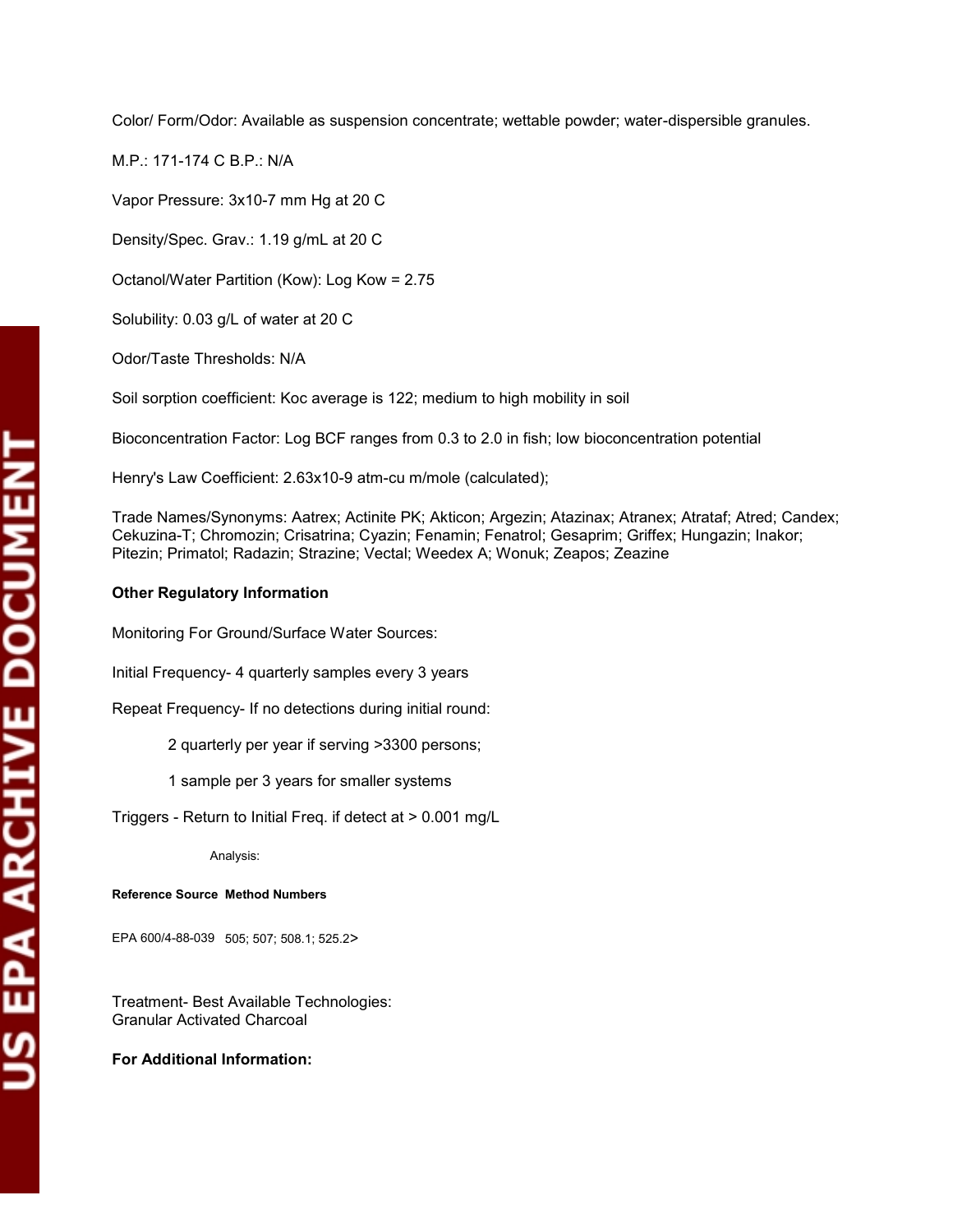Color/ Form/Odor: Available as suspension concentrate; wettable powder; water-dispersible granules.

M.P.: 171-174 C B.P.: N/A

Vapor Pressure: 3x10-7 mm Hg at 20 C

Density/Spec. Grav.: 1.19 g/mL at 20 C

Octanol/Water Partition (Kow): Log Kow = 2.75

Solubility: 0.03 g/L of water at 20 C

Odor/Taste Thresholds: N/A

Soil sorption coefficient: Koc average is 122; medium to high mobility in soil

Odor/Taste Thresholds: N/A<br>Soil sorption coefficient: Koc average is 122; medium to high mobility in soil<br>Bioconcentration Factor: Log BCF ranges from 0.3 to 2.0 in fish; low bioconcentration potential

Henry's Law Coefficient: 2.63x10-9 atm-cu m/mole (calculated);

Trade Names/Synonyms: Aatrex; Actinite PK; Akticon; Argezin; Atazinax; Atranex; Atrataf; Atred; Candex; Cekuzina-T; Chromozin; Crisatrina; Cyazin; Fenamin; Fenatrol; Gesaprim; Griffex; Hungazin; Inakor; Pitezin; Primatol; Radazin; Strazine; Vectal; Weedex A; Wonuk; Zeapos; Zeazine

#### **Other Regulatory Information**

Monitoring For Ground/Surface Water Sources:

Initial Frequency- 4 quarterly samples every 3 years

Repeat Frequency- If no detections during initial round: 2 quarterly per year if serving >3300 persons;

1 sample per 3 years for smaller systems

1 sample per 3 years for smaller systems Triggers - Return to Initial Freq. if detect at > 0.001 mg/L

Analysis:

**Reference Source Method Numbers** 

EPA 600/4-88-039 505; 507; 508.1; 525.2>

 Granular Activated Charcoal Treatment- Best Available Technologies:

**For Additional Information:**